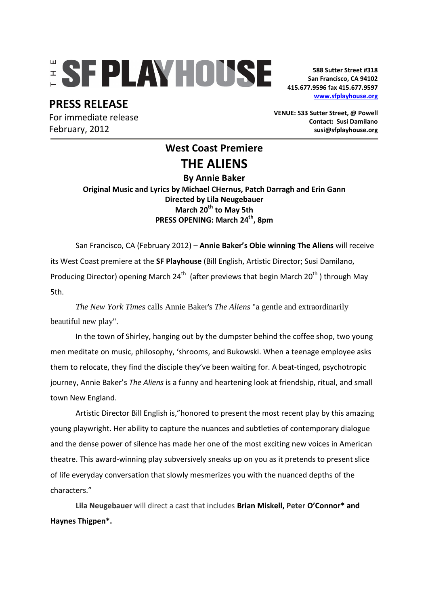# **ESFPLAYHOUSE**

## **PRESS RELEASE**

For immediate release February, 2012

**588 Sutter Street #318 San Francisco, CA 94102 415.677.9596 fax 415.677.9597 www.sfplayhouse.org**

**VENUE: 533 Sutter Street, @ Powell Contact: Susi Damilano susi@sfplayhouse.org** 

## **West Coast Premiere THE ALIENS**

**By Annie Baker Original Music and Lyrics by Michael CHernus, Patch Darragh and Erin Gann Directed by Lila Neugebauer March 20th to May 5th PRESS OPENING: March 24th, 8pm** 

San Francisco, CA (February 2012) – **Annie Baker's Obie winning The Aliens** will receive its West Coast premiere at the **SF Playhouse** (Bill English, Artistic Director; Susi Damilano, Producing Director) opening March  $24^{th}$  (after previews that begin March  $20^{th}$ ) through May 5th.

*The New York Times* calls Annie Baker's *The Aliens* "a gentle and extraordinarily beautiful new play".

In the town of Shirley, hanging out by the dumpster behind the coffee shop, two young men meditate on music, philosophy, 'shrooms, and Bukowski. When a teenage employee asks them to relocate, they find the disciple they've been waiting for. A beat-tinged, psychotropic journey, Annie Baker's *The Aliens* is a funny and heartening look at friendship, ritual, and small town New England.

Artistic Director Bill English is,"honored to present the most recent play by this amazing young playwright. Her ability to capture the nuances and subtleties of contemporary dialogue and the dense power of silence has made her one of the most exciting new voices in American theatre. This award-winning play subversively sneaks up on you as it pretends to present slice of life everyday conversation that slowly mesmerizes you with the nuanced depths of the characters."

**Lila Neugebauer** will direct a cast that includes **Brian Miskell, Peter O'Connor\* and Haynes Thigpen\*.**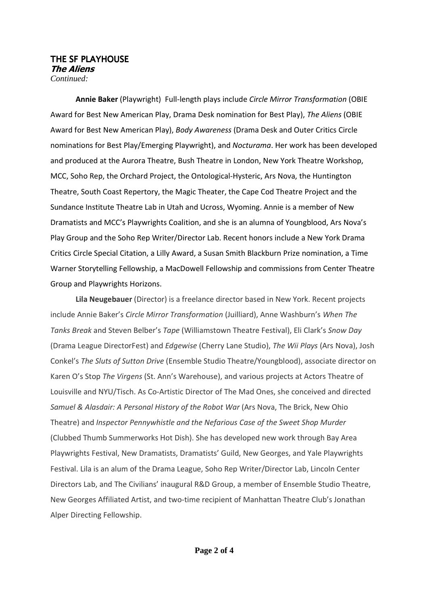#### THE SF PLAYHOUSE **The Aliens**  *Continued:*

**Annie Baker** (Playwright) Full-length plays include *Circle Mirror Transformation* (OBIE Award for Best New American Play, Drama Desk nomination for Best Play), *The Aliens* (OBIE Award for Best New American Play), *Body Awareness* (Drama Desk and Outer Critics Circle nominations for Best Play/Emerging Playwright), and *Nocturama*. Her work has been developed and produced at the Aurora Theatre, Bush Theatre in London, New York Theatre Workshop, MCC, Soho Rep, the Orchard Project, the Ontological-Hysteric, Ars Nova, the Huntington Theatre, South Coast Repertory, the Magic Theater, the Cape Cod Theatre Project and the Sundance Institute Theatre Lab in Utah and Ucross, Wyoming. Annie is a member of New Dramatists and MCC's Playwrights Coalition, and she is an alumna of Youngblood, Ars Nova's Play Group and the Soho Rep Writer/Director Lab. Recent honors include a New York Drama Critics Circle Special Citation, a Lilly Award, a Susan Smith Blackburn Prize nomination, a Time Warner Storytelling Fellowship, a MacDowell Fellowship and commissions from Center Theatre Group and Playwrights Horizons.

**Lila Neugebauer** (Director) is a freelance director based in New York. Recent projects include Annie Baker's *Circle Mirror Transformation* (Juilliard), Anne Washburn's *When The Tanks Break* and Steven Belber's *Tape* (Williamstown Theatre Festival), Eli Clark's *Snow Day* (Drama League DirectorFest) and *Edgewise* (Cherry Lane Studio), *The Wii Plays* (Ars Nova), Josh Conkel's *The Sluts of Sutton Drive* (Ensemble Studio Theatre/Youngblood), associate director on Karen O's Stop *The Virgens* (St. Ann's Warehouse), and various projects at Actors Theatre of Louisville and NYU/Tisch. As Co-Artistic Director of The Mad Ones, she conceived and directed *Samuel & Alasdair: A Personal History of the Robot War* (Ars Nova, The Brick, New Ohio Theatre) and *Inspector Pennywhistle and the Nefarious Case of the Sweet Shop Murder* (Clubbed Thumb Summerworks Hot Dish). She has developed new work through Bay Area Playwrights Festival, New Dramatists, Dramatists' Guild, New Georges, and Yale Playwrights Festival. Lila is an alum of the Drama League, Soho Rep Writer/Director Lab, Lincoln Center Directors Lab, and The Civilians' inaugural R&D Group, a member of Ensemble Studio Theatre, New Georges Affiliated Artist, and two-time recipient of Manhattan Theatre Club's Jonathan Alper Directing Fellowship.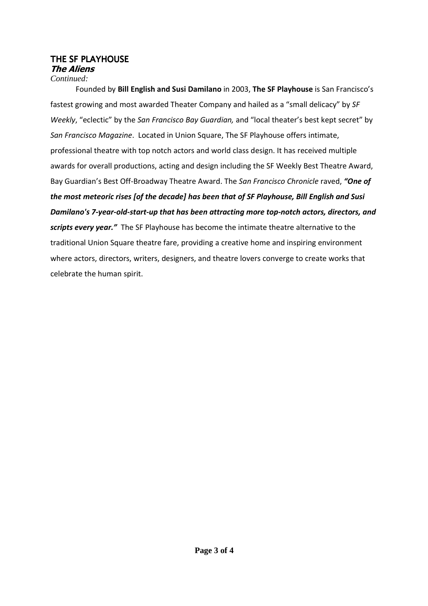### THE SF PLAYHOUSE **The Aliens**

#### *Continued:*

Founded by **Bill English and Susi Damilano** in 2003, **The SF Playhouse** is San Francisco's fastest growing and most awarded Theater Company and hailed as a "small delicacy" by *SF Weekly*, "eclectic" by the *San Francisco Bay Guardian,* and "local theater's best kept secret" by *San Francisco Magazine*. Located in Union Square, The SF Playhouse offers intimate, professional theatre with top notch actors and world class design. It has received multiple awards for overall productions, acting and design including the SF Weekly Best Theatre Award, Bay Guardian's Best Off-Broadway Theatre Award. The *San Francisco Chronicle* raved, *"One of the most meteoric rises [of the decade] has been that of SF Playhouse, Bill English and Susi Damilano's 7-year-old-start-up that has been attracting more top-notch actors, directors, and scripts every year."* The SF Playhouse has become the intimate theatre alternative to the traditional Union Square theatre fare, providing a creative home and inspiring environment where actors, directors, writers, designers, and theatre lovers converge to create works that celebrate the human spirit.